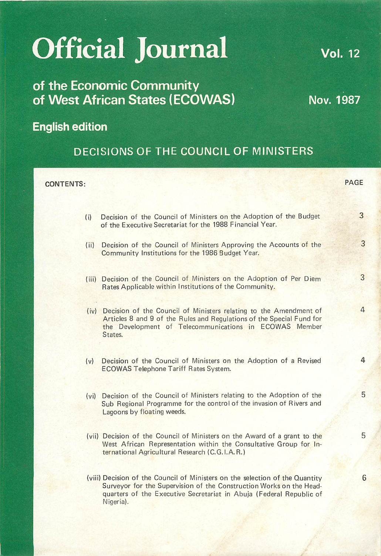# *Official Journa*

# *of the Economic Community of West African States (ECOWAS)*

*English edition*

# DECISIONS OF THE COUNCIL OF MINISTERS

PAGE*CONTENTS:* 3 Decision of the Council of Ministers on the Adoption of the Budget  $(ii)$ of the Executive Secretariat for the 1988 Financial Year. 3 (ii) Decision of the Council of Ministers Approving the Accounts of the Community Institutions for the 1986 Budget Year. 3 (iii) Decision of the Council of Ministers on the Adoption of Per Diem Rates Applicable within Institutions of the Community.  $\Delta$ (iv) Decision of the Council of Ministers relating to the Amendment of Articles 8 and 9 of the Rules and Regulations of the Special Fund for the Development of Telecommunications in ECOWAS Member States. 4 (v) Decision of the Council of Ministers on the Adoption of a Revised ECOWAS Telephone Tariff Rates System. 5 (vi) Decision of the Council of Ministers relating to the Adoption of the Sub Regional Programme for the control of the invasion of Rivers and Lagoons by floating weeds. 5 (vii) Decision of the Council of Ministers on the Award of a grant to the West African Representation within the Consultative Group for International Agricultural Research (C.G.I.A.R.) (viii) Decision of the Council of Ministers on the selection of the Quantity 6 Surveyor for the Supervision of the Construction Works on the Headquarters of the Executive Secretariat in Abuja (Federal Republic of Nigeria).

**Vol. 12** 

Nov. 1987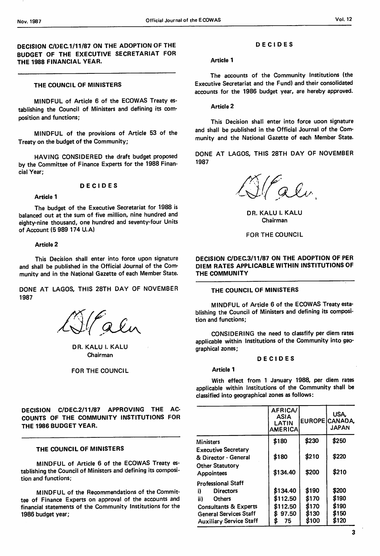*DECISION C/DEC.1/11/87 ON THE ADOPTION* OF *THE BUDGET OF THE EXECUTIVE SECRETARIAT FOR THE 1988 FINANCIAL YEAR.*

# *THE COUNCIL OF MINISTERS*

MINDFUL of Article 6 of the ECOWAS Treaty es tablishing the Council of Ministers and defining its com position and functions;

MINDFUL of the provisions of Article 53 of the Treaty on the budget of the Community;

HAVING CONSIDERED the draft budget proposed by the Committee of Finance Experts for the 1988 Finan cial Year;

# *DECIDES*

# *Article 1*

The budget of the Executive Secretariat for 1988 is balanced out at the sum of five million, nine hundred and eighty-nine thousand, one hundred and seventy-four Units of Account (5 989 174 U.A)

#### *Article* 2

This Decision shall enter into force upon signature and shall be published in the Official Journal of the Com munity and in the National Gazette of each Member State.

DONE AT LAGOS, THIS 28TH DAY OF NOVEMBER 1987

Calin

DR. KALU I. KALU Chairman

# FOR THE COUNCIL

*DECISION C/DEC.2/11/87 APPROVING THE AC COUNTS OF THE COMMUNITY INSTITUTIONS* FOR *THE 1986 BUDGET YEAR.*

# *THE COUNCIL OF MINISTERS*

MINDFUL of Article 6 of the ECOWAS Treaty es tablishing the Council of Ministers and defining its composi tion and functions;

MINDFUL of the Recommendations of the Commit tee of Finance Experts on approval of the accounts and financial statements of the Community Institutions for the 1986 budget year;

# *DECIDES*

#### Article 1

The accounts of the Community Institutions (the Executive Secretariat and the Fund) and their consolidated accounts for the 1986 budget year, are hereby approved.

Article 2

This Decision shall enter into force upon signature and shall be published in the Official Journal of the Com munity and the National Gazette of each Member State.

DONE AT LAGOS, THIS 28TH DAY OF NOVEMBER 1987

Falu

DR. KALU I. KALU Chairman

# FOR THE COUNCIL

# *DECISION C/DEC.3/11/87 ON THE ADOPTION OF PER DIEM RATES APPLICABLE WITHIN INSTITUTIONS OF THE COMMUNITY*

# *THE COUNCIL OF MINISTERS*

MINDFUL of Article 6 of the ECOWAS Treaty esta blishing the Council of Ministers and defining its composi tion and functions;

CONSIDERING the need to classfify per diem rates applicable within Institutions of the Community into geo graphical zones;

# *DECIDES*

*Article 1*

With effect from 1 January 1988, per diem rates applicable within Institutions of the Community shall be classified into geographical zones as follows:

|                                                                                                                                                                             | AFRICA/<br>ASIA<br>LATIN<br><b>AMERICA</b>      |                                           | USA.<br>EUROPE CANADA<br><b>JAPAN</b>     |
|-----------------------------------------------------------------------------------------------------------------------------------------------------------------------------|-------------------------------------------------|-------------------------------------------|-------------------------------------------|
| <b>Ministers</b>                                                                                                                                                            | \$180                                           | \$230                                     | \$250                                     |
| <b>Executive Secretary</b><br>& Director - General<br><b>Other Statutory</b><br>Appointees                                                                                  | \$180<br>\$134.40                               | \$210<br>\$200                            | \$220<br>\$210                            |
| <b>Professional Staff</b><br>i)<br><b>Directors</b><br>ii)<br>Others<br><b>Consultants &amp; Experts</b><br><b>General Services Staff</b><br><b>Auxiliary Service Staff</b> | \$134.40<br>\$112.50<br>\$112.50<br>97.50<br>75 | \$190<br>\$170<br>\$170<br>\$130<br>\$100 | \$200<br>\$190<br>\$190<br>\$150<br>\$120 |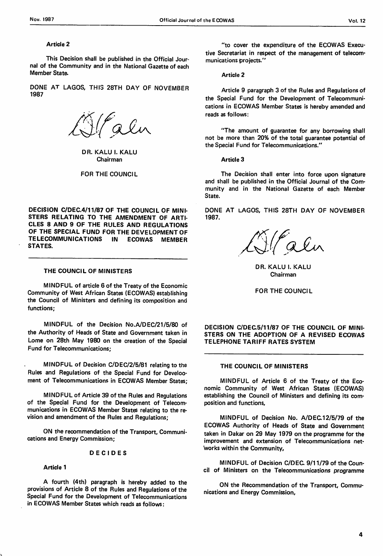## *Article* 2

This Decision shall be published in the Official Jour nal of the Community and in the National Gazette of each Member State.

DONE AT LAGOS, THIS 28TH DAY OF NOVEMBER 1987

alin

DR. KALU I. KALU Chairman

FOR THE COUNCIL

*DECISION C/DEC.4/11/87 OF THE COUNCIL OF MINI STERS RELATING TO THE AMENDMENT OF ARTI CLES 8 AND 9 OF THE RULES AND REGULATIONS OF THE SPECIAL FUND FOR THE DEVELOPMENT OF TELECOMMUNICATIONS IN ECOWAS MEMBER STATES.*

# *THE COUNCIL OF MINISTERS*

MINDFUL of article 6 of the Treaty of the Economic Community of West African States (ECOWAS) establishing the Council of Ministers and defining its composition and functions;

MINDFUL of the Decision No.A/DEC/21/5/80 of the Authority of Heads of State and Government taken in Lome on 28th May 1980 on the creation of the Special Fund for Telecommunications;

MINDFUL of Decision C/DEC/2/5/81 relating to the Rules and Regulations of the Special Fund for Develooment of Telecommunications in ECOWAS Member States;

MINDFUL of Article 39 of the Rules and Regulations of the Special Fund for the Development of Telecom munications in ECOWAS Member States relating to the re vision and amendment of the Rules and Regulations;

ON the recommendation of the Transport, Communi cations and Energy Commission;

# *DECIDES*

# *Article 1*

A fourth (4th) paragraph is hereby added to the provisions of Article 8 of the Rules and Regulations of the Special Fund for the Development of Telecommunications in ECOWAS Member States which reads as follows:

"to cover the expenditure of the ECOWAS Execu tive Secretariat in respect of the management of telecom munications projects."

Article 2

Article 9 paragraph 3 of the Rules and Regulations of the Special Fund for the Development of Telecommuni cations in ECOWAS Member States is hereby amended and reads as follows:

"The amount of guarantee for any borrowing shall not be more than 20% of the total guarantee potential of the Special Fund for Telecommunications."

*Article* 3

The Decision shall enter into force upon signature and shall be published in the Official Journal of the Com munity and in the National Gazette of each Member State.

DONE AT LAGOS, THIS 28TH DAY OF NOVEMBER 1987.

alin

DR. KALU I. KALU Chairman

FOR THE COUNCIL

*DECISION C/DEC.5/11/87 OF THE COUNCIL OF MINI STERS ON THE ADOPTION OF A REVISED ECOWAS TELEPHONE TARIFF RATES SYSTEM*

# *THE COUNCIL OF MINISTERS*

MINDFUL of Article 6 of the Treaty of the Eco nomic Community of West African States (ECOWAS) establishing the Council of Ministers and defining its com position and functions,

MINDFUL of Decision No. A/DEC.12/5/79 of the ECOWAS Authority of Heads of State and Government taken in Dakar on 29 May 1979 on the programme for the improvement and extension of Telecommunications net works within the Community,

MINDFUL of Decision C/DEC. 9/11/79 of the Coun cil of Ministers on the Telecommunications programme

ON the Recommendation of the Transport, Commu nications and Energy Commission,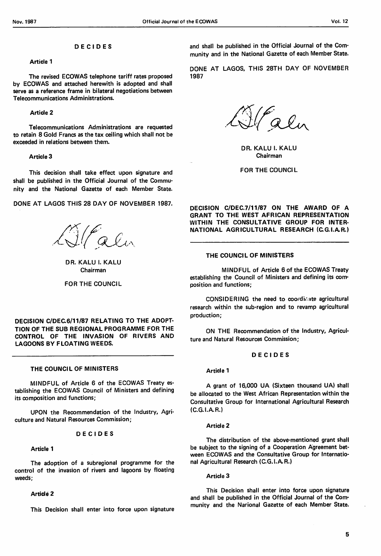#### *DECIDES*

#### *Article 1*

The revised ECOWAS telephone tariff rates proposed by ECOWAS and attached herewith is adopted and shall serve as a reference frame in bilateral negotiations between Telecommunications Administrations.

#### *Article 2*

Telecommunications Administrations are requested to retain 8 Gold Francs as the tax ceiling which shall not be exceeded in relations between them.

# *Article 3*

This decision shall take effect upon signature and shall be published in the Official Journal of the Commu nity and the National Gazette of each Member State.

DONE AT LAGOS THIS 28 DAY OF NOVEMBER 1987.

Olalin

DR. KALU I. KALU Chairman

## FOR THE COUNCIL

*DECISION C/DEC.6/11/87 RELATING TO THE ADOPT ION OF THE SUB REGIONAL PROGRAMME FOR THE CONTROL OF THE INVASION OF RIVERS AND LAGOONS BY FLOATING WEEDS.*

#### *THE COUNCIL OF MINISTERS*

MINDFUL of Article 6 of the ECOWAS Treaty es tablishing the ECOWAS Council of Ministers and defining its composition and functions;

UPON the Recommendation of the Industry, Agri culture and Natural Resources Commission;

#### *DECIDES*

# *Article 1*

The adoption of a subregional programme for the control of the invasion of rivers and lagoons by floating weeds;

# *Article 2*

This Decision shall enter into force upon signature

and shall be published in the Official Journal of the Com munity and in the National Gazette of each Member State.

DONE AT LAGOS, THIS 28TH DAY OF NOVEMBER 1987

Falu

DR. KALU I. KALU Chairman

FOR THE COUNCIL

*DECISION C/DEC.7/11/87 ON THE AWARD OF A GRANT TO THE WEST AFRICAN REPRESENTATION WITHIN THE CONSULTATIVE GROUP FOR INTER NATIONAL AGRICULTURAL RESEARCH (CG.I.AR.)*

# *THE COUNCIL OF MINISTERS*

MINDFUL of Article 6 of the ECOWAS Treaty establishing the Council of Ministers and defining its com position and functions;

CONSIDERING the need to coordicate agricultural research within the sub-region and to revamp agricultural production;

ON THE Recommendation of the Industry, Agricul ture and Natural Resources Commission;

#### *DECIDES*

#### *Article 1*

A grant of 16,000 UA (Sixteen thousand UA) shall be allocated to the West African Representation within the Consultative Group for International Agricultural Research  $(C.G.I.A.R.)$ 

#### Article 2

The distribution of the above-mentioned grant shall be subject to the signing of a Cooperation Agreement bet ween ECOWAS and the Consultative Group for Internatio nal Agricultural Research (C.G.I.A.R.)

#### Article 3

This Decision shall enter into force upon signature and shall be published in the Official Journal of the Com munity and the Narional Gazette of each Member State.

5